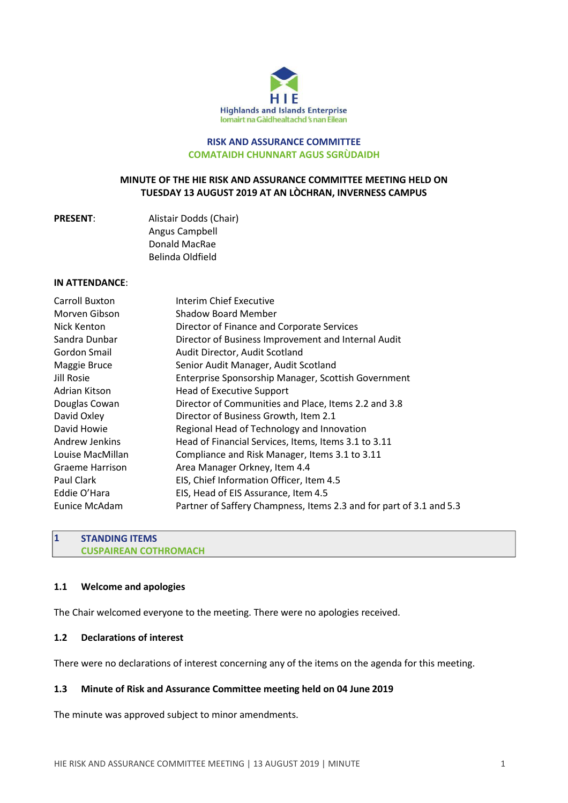

#### **RISK AND ASSURANCE COMMITTEE COMATAIDH CHUNNART AGUS SGRÙDAIDH**

## **MINUTE OF THE HIE RISK AND ASSURANCE COMMITTEE MEETING HELD ON TUESDAY 13 AUGUST 2019 AT AN LÒCHRAN, INVERNESS CAMPUS**

**PRESENT**: Alistair Dodds (Chair) Angus Campbell Donald MacRae Belinda Oldfield

## **IN ATTENDANCE**:

| Carroll Buxton         | Interim Chief Executive                                             |
|------------------------|---------------------------------------------------------------------|
| Morven Gibson          | Shadow Board Member                                                 |
| Nick Kenton            | Director of Finance and Corporate Services                          |
| Sandra Dunbar          | Director of Business Improvement and Internal Audit                 |
| Gordon Smail           | Audit Director, Audit Scotland                                      |
| Maggie Bruce           | Senior Audit Manager, Audit Scotland                                |
| Jill Rosie             | Enterprise Sponsorship Manager, Scottish Government                 |
| Adrian Kitson          | <b>Head of Executive Support</b>                                    |
| Douglas Cowan          | Director of Communities and Place, Items 2.2 and 3.8                |
| David Oxley            | Director of Business Growth, Item 2.1                               |
| David Howie            | Regional Head of Technology and Innovation                          |
| Andrew Jenkins         | Head of Financial Services, Items, Items 3.1 to 3.11                |
| Louise MacMillan       | Compliance and Risk Manager, Items 3.1 to 3.11                      |
| <b>Graeme Harrison</b> | Area Manager Orkney, Item 4.4                                       |
| Paul Clark             | EIS, Chief Information Officer, Item 4.5                            |
| Eddie O'Hara           | EIS, Head of EIS Assurance, Item 4.5                                |
| Eunice McAdam          | Partner of Saffery Champness, Items 2.3 and for part of 3.1 and 5.3 |

## **1 STANDING ITEMS CUSPAIREAN COTHROMACH**

## **1.1 Welcome and apologies**

The Chair welcomed everyone to the meeting. There were no apologies received.

# **1.2 Declarations of interest**

There were no declarations of interest concerning any of the items on the agenda for this meeting.

## **1.3 Minute of Risk and Assurance Committee meeting held on 04 June 2019**

The minute was approved subject to minor amendments.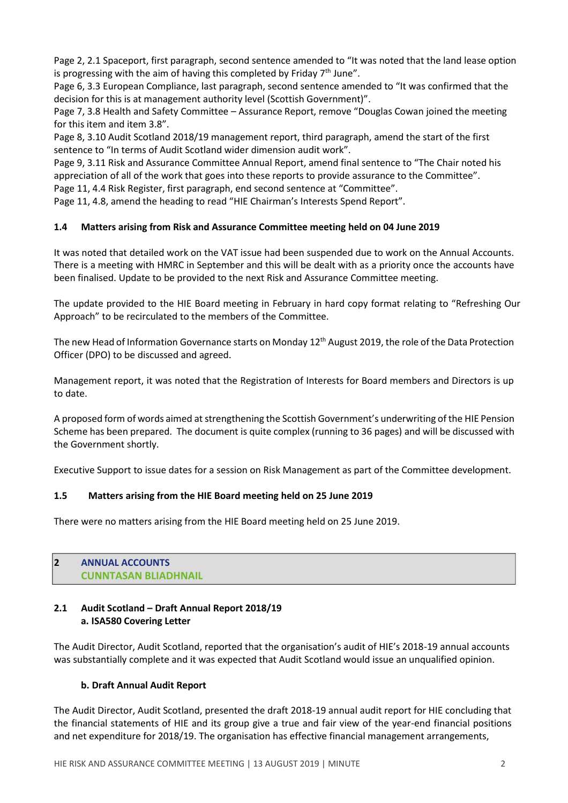Page 2, 2.1 Spaceport, first paragraph, second sentence amended to "It was noted that the land lease option is progressing with the aim of having this completed by Friday 7<sup>th</sup> June".

Page 6, 3.3 European Compliance, last paragraph, second sentence amended to "It was confirmed that the decision for this is at management authority level (Scottish Government)".

Page 7, 3.8 Health and Safety Committee – Assurance Report, remove "Douglas Cowan joined the meeting for this item and item 3.8".

Page 8, 3.10 Audit Scotland 2018/19 management report, third paragraph, amend the start of the first sentence to "In terms of Audit Scotland wider dimension audit work".

Page 9, 3.11 Risk and Assurance Committee Annual Report, amend final sentence to "The Chair noted his appreciation of all of the work that goes into these reports to provide assurance to the Committee".

Page 11, 4.4 Risk Register, first paragraph, end second sentence at "Committee".

Page 11, 4.8, amend the heading to read "HIE Chairman's Interests Spend Report".

# **1.4 Matters arising from Risk and Assurance Committee meeting held on 04 June 2019**

It was noted that detailed work on the VAT issue had been suspended due to work on the Annual Accounts. There is a meeting with HMRC in September and this will be dealt with as a priority once the accounts have been finalised. Update to be provided to the next Risk and Assurance Committee meeting.

The update provided to the HIE Board meeting in February in hard copy format relating to "Refreshing Our Approach" to be recirculated to the members of the Committee.

The new Head of Information Governance starts on Monday 12<sup>th</sup> August 2019, the role of the Data Protection Officer (DPO) to be discussed and agreed.

Management report, it was noted that the Registration of Interests for Board members and Directors is up to date.

A proposed form of words aimed atstrengthening the Scottish Government's underwriting of the HIE Pension Scheme has been prepared. The document is quite complex (running to 36 pages) and will be discussed with the Government shortly.

Executive Support to issue dates for a session on Risk Management as part of the Committee development.

# **1.5 Matters arising from the HIE Board meeting held on 25 June 2019**

There were no matters arising from the HIE Board meeting held on 25 June 2019.

# **2 ANNUAL ACCOUNTS CUNNTASAN BLIADHNAIL**

## **2.1 Audit Scotland – Draft Annual Report 2018/19 a. ISA580 Covering Letter**

The Audit Director, Audit Scotland, reported that the organisation's audit of HIE's 2018-19 annual accounts was substantially complete and it was expected that Audit Scotland would issue an unqualified opinion.

# **b. Draft Annual Audit Report**

The Audit Director, Audit Scotland, presented the draft 2018-19 annual audit report for HIE concluding that the financial statements of HIE and its group give a true and fair view of the year-end financial positions and net expenditure for 2018/19. The organisation has effective financial management arrangements,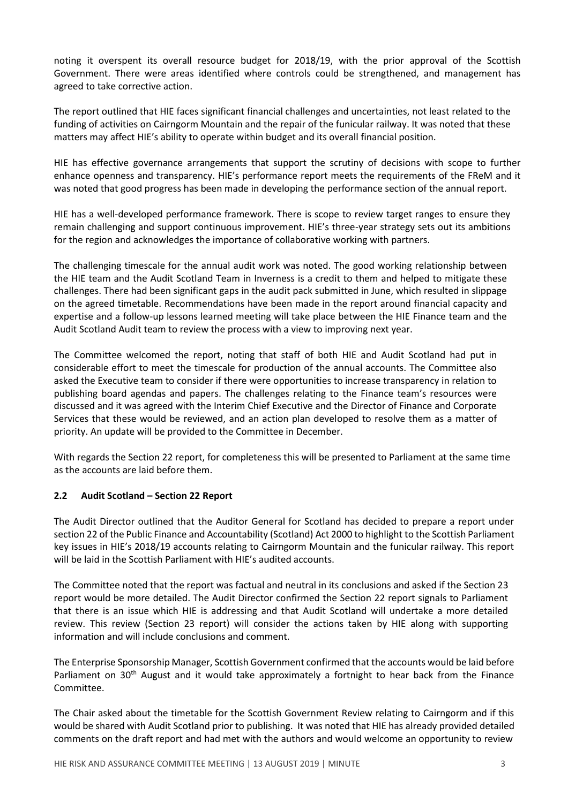noting it overspent its overall resource budget for 2018/19, with the prior approval of the Scottish Government. There were areas identified where controls could be strengthened, and management has agreed to take corrective action.

The report outlined that HIE faces significant financial challenges and uncertainties, not least related to the funding of activities on Cairngorm Mountain and the repair of the funicular railway. It was noted that these matters may affect HIE's ability to operate within budget and its overall financial position.

HIE has effective governance arrangements that support the scrutiny of decisions with scope to further enhance openness and transparency. HIE's performance report meets the requirements of the FReM and it was noted that good progress has been made in developing the performance section of the annual report.

HIE has a well-developed performance framework. There is scope to review target ranges to ensure they remain challenging and support continuous improvement. HIE's three-year strategy sets out its ambitions for the region and acknowledges the importance of collaborative working with partners.

The challenging timescale for the annual audit work was noted. The good working relationship between the HIE team and the Audit Scotland Team in Inverness is a credit to them and helped to mitigate these challenges. There had been significant gaps in the audit pack submitted in June, which resulted in slippage on the agreed timetable. Recommendations have been made in the report around financial capacity and expertise and a follow-up lessons learned meeting will take place between the HIE Finance team and the Audit Scotland Audit team to review the process with a view to improving next year.

The Committee welcomed the report, noting that staff of both HIE and Audit Scotland had put in considerable effort to meet the timescale for production of the annual accounts. The Committee also asked the Executive team to consider if there were opportunities to increase transparency in relation to publishing board agendas and papers. The challenges relating to the Finance team's resources were discussed and it was agreed with the Interim Chief Executive and the Director of Finance and Corporate Services that these would be reviewed, and an action plan developed to resolve them as a matter of priority. An update will be provided to the Committee in December.

With regards the Section 22 report, for completeness this will be presented to Parliament at the same time as the accounts are laid before them.

## **2.2 Audit Scotland – Section 22 Report**

The Audit Director outlined that the Auditor General for Scotland has decided to prepare a report under section 22 of the Public Finance and Accountability (Scotland) Act 2000 to highlight to the Scottish Parliament key issues in HIE's 2018/19 accounts relating to Cairngorm Mountain and the funicular railway. This report will be laid in the Scottish Parliament with HIE's audited accounts.

The Committee noted that the report was factual and neutral in its conclusions and asked if the Section 23 report would be more detailed. The Audit Director confirmed the Section 22 report signals to Parliament that there is an issue which HIE is addressing and that Audit Scotland will undertake a more detailed review. This review (Section 23 report) will consider the actions taken by HIE along with supporting information and will include conclusions and comment.

The Enterprise Sponsorship Manager, Scottish Government confirmed that the accounts would be laid before Parliament on 30<sup>th</sup> August and it would take approximately a fortnight to hear back from the Finance Committee.

The Chair asked about the timetable for the Scottish Government Review relating to Cairngorm and if this would be shared with Audit Scotland prior to publishing. It was noted that HIE has already provided detailed comments on the draft report and had met with the authors and would welcome an opportunity to review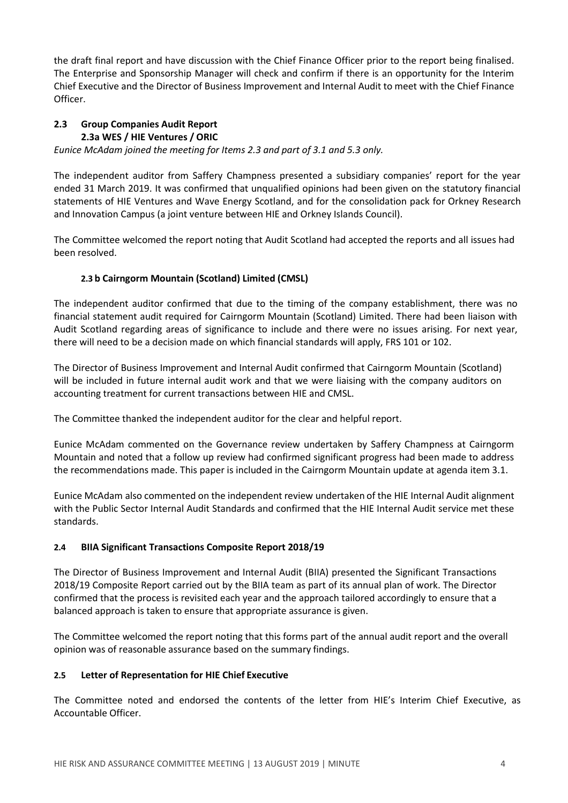the draft final report and have discussion with the Chief Finance Officer prior to the report being finalised. The Enterprise and Sponsorship Manager will check and confirm if there is an opportunity for the Interim Chief Executive and the Director of Business Improvement and Internal Audit to meet with the Chief Finance Officer.

# **2.3 Group Companies Audit Report 2.3a WES / HIE Ventures / ORIC**

*Eunice McAdam joined the meeting for Items 2.3 and part of 3.1 and 5.3 only.*

The independent auditor from Saffery Champness presented a subsidiary companies' report for the year ended 31 March 2019. It was confirmed that unqualified opinions had been given on the statutory financial statements of HIE Ventures and Wave Energy Scotland, and for the consolidation pack for Orkney Research and Innovation Campus (a joint venture between HIE and Orkney Islands Council).

The Committee welcomed the report noting that Audit Scotland had accepted the reports and all issues had been resolved.

# **2.3 b Cairngorm Mountain (Scotland) Limited (CMSL)**

The independent auditor confirmed that due to the timing of the company establishment, there was no financial statement audit required for Cairngorm Mountain (Scotland) Limited. There had been liaison with Audit Scotland regarding areas of significance to include and there were no issues arising. For next year, there will need to be a decision made on which financial standards will apply, FRS 101 or 102.

The Director of Business Improvement and Internal Audit confirmed that Cairngorm Mountain (Scotland) will be included in future internal audit work and that we were liaising with the company auditors on accounting treatment for current transactions between HIE and CMSL.

The Committee thanked the independent auditor for the clear and helpful report.

Eunice McAdam commented on the Governance review undertaken by Saffery Champness at Cairngorm Mountain and noted that a follow up review had confirmed significant progress had been made to address the recommendations made. This paper is included in the Cairngorm Mountain update at agenda item 3.1.

Eunice McAdam also commented on the independent review undertaken of the HIE Internal Audit alignment with the Public Sector Internal Audit Standards and confirmed that the HIE Internal Audit service met these standards.

# **2.4 BIIA Significant Transactions Composite Report 2018/19**

The Director of Business Improvement and Internal Audit (BIIA) presented the Significant Transactions 2018/19 Composite Report carried out by the BIIA team as part of its annual plan of work. The Director confirmed that the process is revisited each year and the approach tailored accordingly to ensure that a balanced approach is taken to ensure that appropriate assurance is given.

The Committee welcomed the report noting that this forms part of the annual audit report and the overall opinion was of reasonable assurance based on the summary findings.

## **2.5 Letter of Representation for HIE Chief Executive**

The Committee noted and endorsed the contents of the letter from HIE's Interim Chief Executive, as Accountable Officer.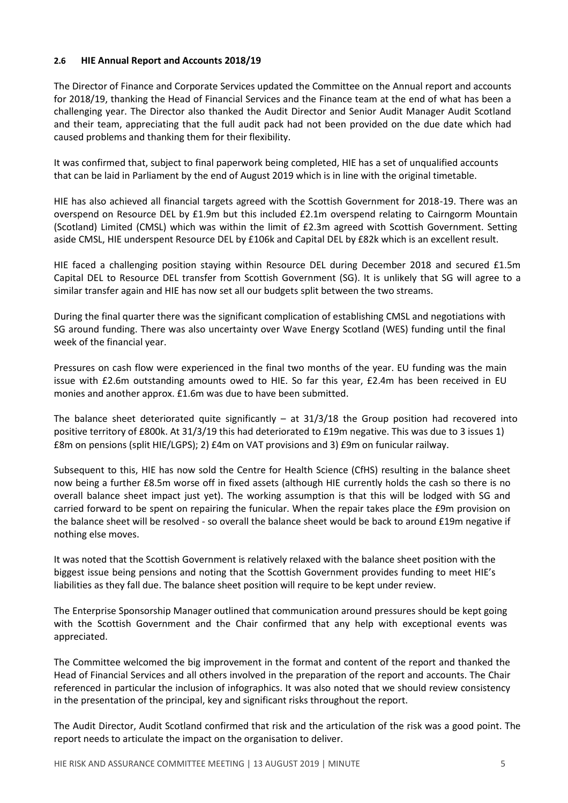## **2.6 HIE Annual Report and Accounts 2018/19**

The Director of Finance and Corporate Services updated the Committee on the Annual report and accounts for 2018/19, thanking the Head of Financial Services and the Finance team at the end of what has been a challenging year. The Director also thanked the Audit Director and Senior Audit Manager Audit Scotland and their team, appreciating that the full audit pack had not been provided on the due date which had caused problems and thanking them for their flexibility.

It was confirmed that, subject to final paperwork being completed, HIE has a set of unqualified accounts that can be laid in Parliament by the end of August 2019 which is in line with the original timetable.

HIE has also achieved all financial targets agreed with the Scottish Government for 2018-19. There was an overspend on Resource DEL by £1.9m but this included £2.1m overspend relating to Cairngorm Mountain (Scotland) Limited (CMSL) which was within the limit of £2.3m agreed with Scottish Government. Setting aside CMSL, HIE underspent Resource DEL by £106k and Capital DEL by £82k which is an excellent result.

HIE faced a challenging position staying within Resource DEL during December 2018 and secured £1.5m Capital DEL to Resource DEL transfer from Scottish Government (SG). It is unlikely that SG will agree to a similar transfer again and HIE has now set all our budgets split between the two streams.

During the final quarter there was the significant complication of establishing CMSL and negotiations with SG around funding. There was also uncertainty over Wave Energy Scotland (WES) funding until the final week of the financial year.

Pressures on cash flow were experienced in the final two months of the year. EU funding was the main issue with £2.6m outstanding amounts owed to HIE. So far this year, £2.4m has been received in EU monies and another approx. £1.6m was due to have been submitted.

The balance sheet deteriorated quite significantly  $-$  at 31/3/18 the Group position had recovered into positive territory of £800k. At 31/3/19 this had deteriorated to £19m negative. This was due to 3 issues 1) £8m on pensions (split HIE/LGPS); 2) £4m on VAT provisions and 3) £9m on funicular railway.

Subsequent to this, HIE has now sold the Centre for Health Science (CfHS) resulting in the balance sheet now being a further £8.5m worse off in fixed assets (although HIE currently holds the cash so there is no overall balance sheet impact just yet). The working assumption is that this will be lodged with SG and carried forward to be spent on repairing the funicular. When the repair takes place the £9m provision on the balance sheet will be resolved - so overall the balance sheet would be back to around £19m negative if nothing else moves.

It was noted that the Scottish Government is relatively relaxed with the balance sheet position with the biggest issue being pensions and noting that the Scottish Government provides funding to meet HIE's liabilities as they fall due. The balance sheet position will require to be kept under review.

The Enterprise Sponsorship Manager outlined that communication around pressures should be kept going with the Scottish Government and the Chair confirmed that any help with exceptional events was appreciated.

The Committee welcomed the big improvement in the format and content of the report and thanked the Head of Financial Services and all others involved in the preparation of the report and accounts. The Chair referenced in particular the inclusion of infographics. It was also noted that we should review consistency in the presentation of the principal, key and significant risks throughout the report.

The Audit Director, Audit Scotland confirmed that risk and the articulation of the risk was a good point. The report needs to articulate the impact on the organisation to deliver.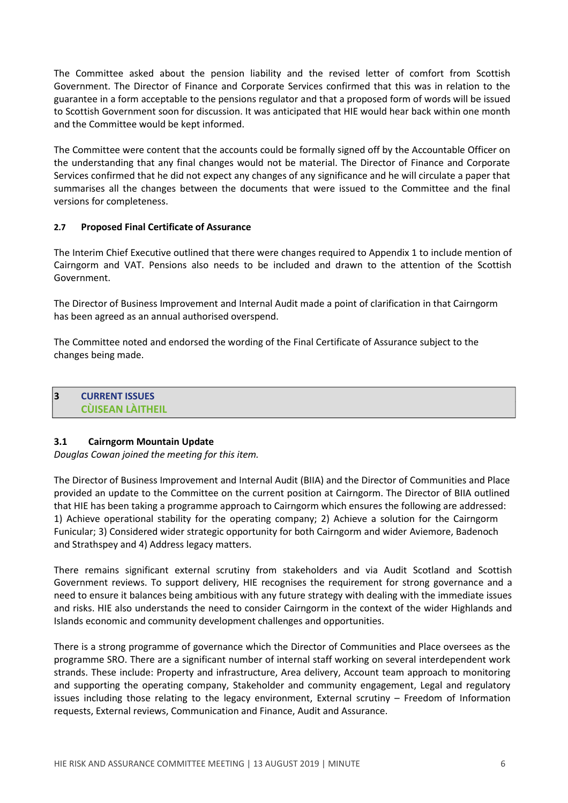The Committee asked about the pension liability and the revised letter of comfort from Scottish Government. The Director of Finance and Corporate Services confirmed that this was in relation to the guarantee in a form acceptable to the pensions regulator and that a proposed form of words will be issued to Scottish Government soon for discussion. It was anticipated that HIE would hear back within one month and the Committee would be kept informed.

The Committee were content that the accounts could be formally signed off by the Accountable Officer on the understanding that any final changes would not be material. The Director of Finance and Corporate Services confirmed that he did not expect any changes of any significance and he will circulate a paper that summarises all the changes between the documents that were issued to the Committee and the final versions for completeness.

#### **2.7 Proposed Final Certificate of Assurance**

The Interim Chief Executive outlined that there were changes required to Appendix 1 to include mention of Cairngorm and VAT. Pensions also needs to be included and drawn to the attention of the Scottish Government.

The Director of Business Improvement and Internal Audit made a point of clarification in that Cairngorm has been agreed as an annual authorised overspend.

The Committee noted and endorsed the wording of the Final Certificate of Assurance subject to the changes being made.

## **3 CURRENT ISSUES CÙISEAN LÀITHEIL**

#### **3.1 Cairngorm Mountain Update**

*Douglas Cowan joined the meeting for this item.*

The Director of Business Improvement and Internal Audit (BIIA) and the Director of Communities and Place provided an update to the Committee on the current position at Cairngorm. The Director of BIIA outlined that HIE has been taking a programme approach to Cairngorm which ensures the following are addressed: 1) Achieve operational stability for the operating company; 2) Achieve a solution for the Cairngorm Funicular; 3) Considered wider strategic opportunity for both Cairngorm and wider Aviemore, Badenoch and Strathspey and 4) Address legacy matters.

There remains significant external scrutiny from stakeholders and via Audit Scotland and Scottish Government reviews. To support delivery, HIE recognises the requirement for strong governance and a need to ensure it balances being ambitious with any future strategy with dealing with the immediate issues and risks. HIE also understands the need to consider Cairngorm in the context of the wider Highlands and Islands economic and community development challenges and opportunities.

There is a strong programme of governance which the Director of Communities and Place oversees as the programme SRO. There are a significant number of internal staff working on several interdependent work strands. These include: Property and infrastructure, Area delivery, Account team approach to monitoring and supporting the operating company, Stakeholder and community engagement, Legal and regulatory issues including those relating to the legacy environment, External scrutiny – Freedom of Information requests, External reviews, Communication and Finance, Audit and Assurance.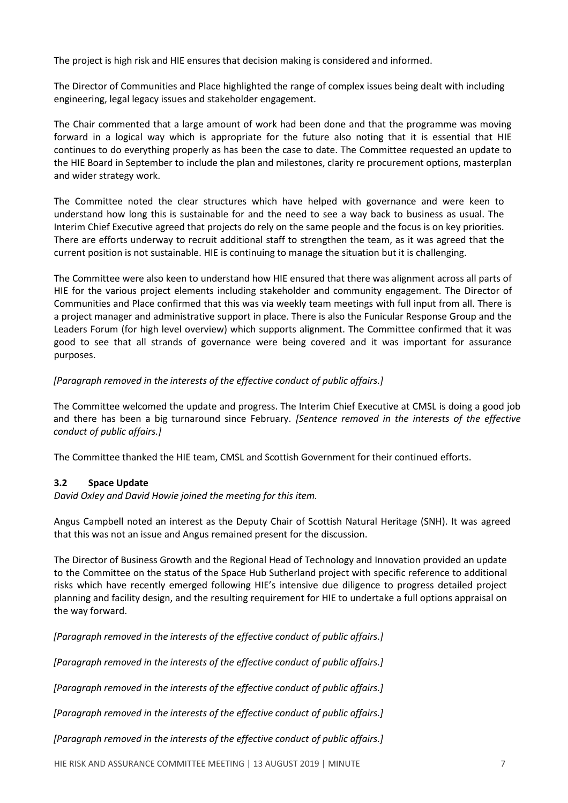The project is high risk and HIE ensures that decision making is considered and informed.

The Director of Communities and Place highlighted the range of complex issues being dealt with including engineering, legal legacy issues and stakeholder engagement.

The Chair commented that a large amount of work had been done and that the programme was moving forward in a logical way which is appropriate for the future also noting that it is essential that HIE continues to do everything properly as has been the case to date. The Committee requested an update to the HIE Board in September to include the plan and milestones, clarity re procurement options, masterplan and wider strategy work.

The Committee noted the clear structures which have helped with governance and were keen to understand how long this is sustainable for and the need to see a way back to business as usual. The Interim Chief Executive agreed that projects do rely on the same people and the focus is on key priorities. There are efforts underway to recruit additional staff to strengthen the team, as it was agreed that the current position is not sustainable. HIE is continuing to manage the situation but it is challenging.

The Committee were also keen to understand how HIE ensured that there was alignment across all parts of HIE for the various project elements including stakeholder and community engagement. The Director of Communities and Place confirmed that this was via weekly team meetings with full input from all. There is a project manager and administrative support in place. There is also the Funicular Response Group and the Leaders Forum (for high level overview) which supports alignment. The Committee confirmed that it was good to see that all strands of governance were being covered and it was important for assurance purposes.

## *[Paragraph removed in the interests of the effective conduct of public affairs.]*

The Committee welcomed the update and progress. The Interim Chief Executive at CMSL is doing a good job and there has been a big turnaround since February. *[Sentence removed in the interests of the effective conduct of public affairs.]*

The Committee thanked the HIE team, CMSL and Scottish Government for their continued efforts.

## **3.2 Space Update**

*David Oxley and David Howie joined the meeting for this item.*

Angus Campbell noted an interest as the Deputy Chair of Scottish Natural Heritage (SNH). It was agreed that this was not an issue and Angus remained present for the discussion.

The Director of Business Growth and the Regional Head of Technology and Innovation provided an update to the Committee on the status of the Space Hub Sutherland project with specific reference to additional risks which have recently emerged following HIE's intensive due diligence to progress detailed project planning and facility design, and the resulting requirement for HIE to undertake a full options appraisal on the way forward.

*[Paragraph removed in the interests of the effective conduct of public affairs.]*

*[Paragraph removed in the interests of the effective conduct of public affairs.]*

*[Paragraph removed in the interests of the effective conduct of public affairs.]*

*[Paragraph removed in the interests of the effective conduct of public affairs.]*

*[Paragraph removed in the interests of the effective conduct of public affairs.]*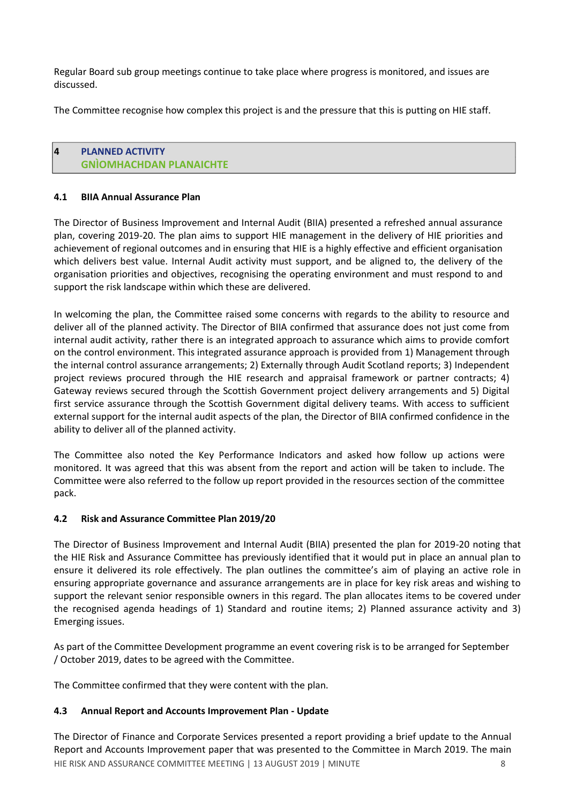Regular Board sub group meetings continue to take place where progress is monitored, and issues are discussed.

The Committee recognise how complex this project is and the pressure that this is putting on HIE staff.

## **4 PLANNED ACTIVITY GNÌOMHACHDAN PLANAICHTE**

## **4.1 BIIA Annual Assurance Plan**

The Director of Business Improvement and Internal Audit (BIIA) presented a refreshed annual assurance plan, covering 2019-20. The plan aims to support HIE management in the delivery of HIE priorities and achievement of regional outcomes and in ensuring that HIE is a highly effective and efficient organisation which delivers best value. Internal Audit activity must support, and be aligned to, the delivery of the organisation priorities and objectives, recognising the operating environment and must respond to and support the risk landscape within which these are delivered.

In welcoming the plan, the Committee raised some concerns with regards to the ability to resource and deliver all of the planned activity. The Director of BIIA confirmed that assurance does not just come from internal audit activity, rather there is an integrated approach to assurance which aims to provide comfort on the control environment. This integrated assurance approach is provided from 1) Management through the internal control assurance arrangements; 2) Externally through Audit Scotland reports; 3) Independent project reviews procured through the HIE research and appraisal framework or partner contracts; 4) Gateway reviews secured through the Scottish Government project delivery arrangements and 5) Digital first service assurance through the Scottish Government digital delivery teams. With access to sufficient external support for the internal audit aspects of the plan, the Director of BIIA confirmed confidence in the ability to deliver all of the planned activity.

The Committee also noted the Key Performance Indicators and asked how follow up actions were monitored. It was agreed that this was absent from the report and action will be taken to include. The Committee were also referred to the follow up report provided in the resources section of the committee pack.

## **4.2 Risk and Assurance Committee Plan 2019/20**

The Director of Business Improvement and Internal Audit (BIIA) presented the plan for 2019-20 noting that the HIE Risk and Assurance Committee has previously identified that it would put in place an annual plan to ensure it delivered its role effectively. The plan outlines the committee's aim of playing an active role in ensuring appropriate governance and assurance arrangements are in place for key risk areas and wishing to support the relevant senior responsible owners in this regard. The plan allocates items to be covered under the recognised agenda headings of 1) Standard and routine items; 2) Planned assurance activity and 3) Emerging issues.

As part of the Committee Development programme an event covering risk is to be arranged for September / October 2019, dates to be agreed with the Committee.

The Committee confirmed that they were content with the plan.

# **4.3 Annual Report and Accounts Improvement Plan - Update**

HIE RISK AND ASSURANCE COMMITTEE MEETING | 13 AUGUST 2019 | MINUTE 8 The Director of Finance and Corporate Services presented a report providing a brief update to the Annual Report and Accounts Improvement paper that was presented to the Committee in March 2019. The main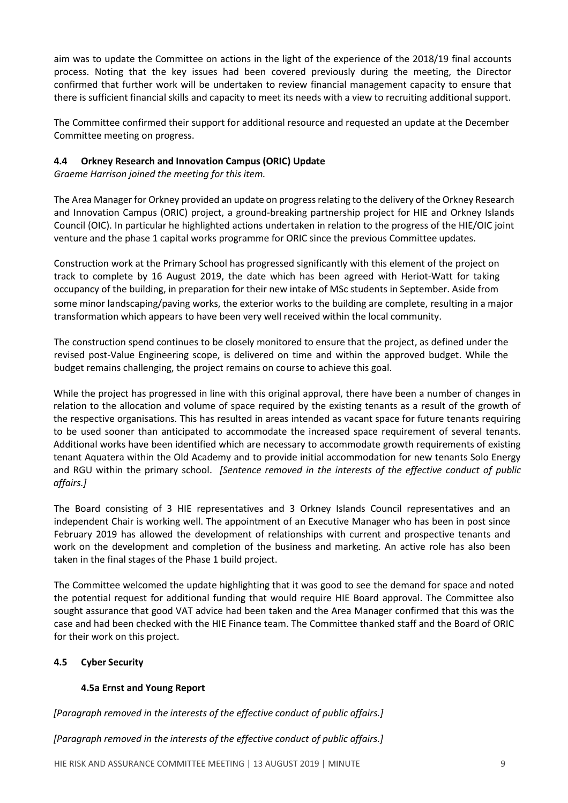aim was to update the Committee on actions in the light of the experience of the 2018/19 final accounts process. Noting that the key issues had been covered previously during the meeting, the Director confirmed that further work will be undertaken to review financial management capacity to ensure that there is sufficient financial skills and capacity to meet its needs with a view to recruiting additional support.

The Committee confirmed their support for additional resource and requested an update at the December Committee meeting on progress.

# **4.4 Orkney Research and Innovation Campus (ORIC) Update**

*Graeme Harrison joined the meeting for this item.*

The Area Manager for Orkney provided an update on progressrelating to the delivery of the Orkney Research and Innovation Campus (ORIC) project, a ground-breaking partnership project for HIE and Orkney Islands Council (OIC). In particular he highlighted actions undertaken in relation to the progress of the HIE/OIC joint venture and the phase 1 capital works programme for ORIC since the previous Committee updates.

Construction work at the Primary School has progressed significantly with this element of the project on track to complete by 16 August 2019, the date which has been agreed with Heriot-Watt for taking occupancy of the building, in preparation for their new intake of MSc students in September. Aside from some minor landscaping/paving works, the exterior works to the building are complete, resulting in a major transformation which appears to have been very well received within the local community.

The construction spend continues to be closely monitored to ensure that the project, as defined under the revised post-Value Engineering scope, is delivered on time and within the approved budget. While the budget remains challenging, the project remains on course to achieve this goal.

While the project has progressed in line with this original approval, there have been a number of changes in relation to the allocation and volume of space required by the existing tenants as a result of the growth of the respective organisations. This has resulted in areas intended as vacant space for future tenants requiring to be used sooner than anticipated to accommodate the increased space requirement of several tenants. Additional works have been identified which are necessary to accommodate growth requirements of existing tenant Aquatera within the Old Academy and to provide initial accommodation for new tenants Solo Energy and RGU within the primary school. *[Sentence removed in the interests of the effective conduct of public affairs.]*

The Board consisting of 3 HIE representatives and 3 Orkney Islands Council representatives and an independent Chair is working well. The appointment of an Executive Manager who has been in post since February 2019 has allowed the development of relationships with current and prospective tenants and work on the development and completion of the business and marketing. An active role has also been taken in the final stages of the Phase 1 build project.

The Committee welcomed the update highlighting that it was good to see the demand for space and noted the potential request for additional funding that would require HIE Board approval. The Committee also sought assurance that good VAT advice had been taken and the Area Manager confirmed that this was the case and had been checked with the HIE Finance team. The Committee thanked staff and the Board of ORIC for their work on this project.

# **4.5 Cyber Security**

## **4.5a Ernst and Young Report**

*[Paragraph removed in the interests of the effective conduct of public affairs.]*

*[Paragraph removed in the interests of the effective conduct of public affairs.]*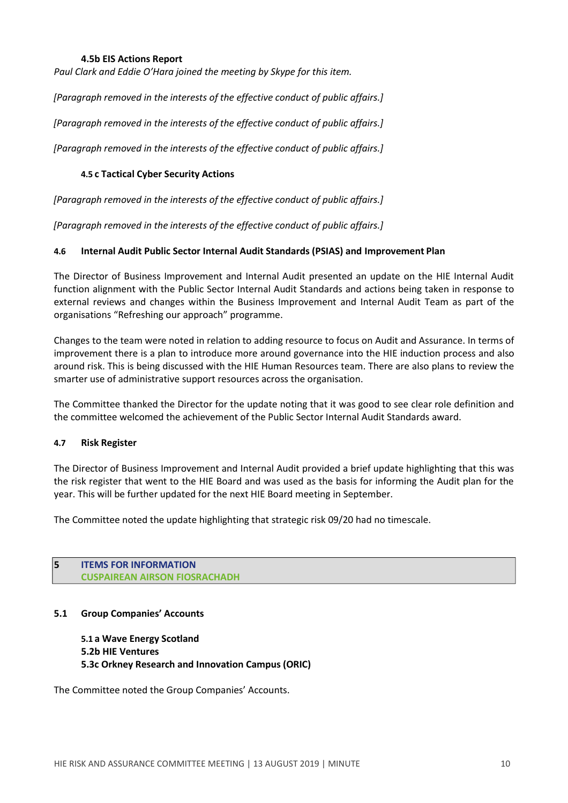## **4.5b EIS Actions Report**

*Paul Clark and Eddie O'Hara joined the meeting by Skype for this item.*

*[Paragraph removed in the interests of the effective conduct of public affairs.]*

*[Paragraph removed in the interests of the effective conduct of public affairs.]*

*[Paragraph removed in the interests of the effective conduct of public affairs.]*

### **4.5 c Tactical Cyber Security Actions**

*[Paragraph removed in the interests of the effective conduct of public affairs.]*

*[Paragraph removed in the interests of the effective conduct of public affairs.]*

#### **4.6 Internal Audit Public Sector Internal Audit Standards (PSIAS) and Improvement Plan**

The Director of Business Improvement and Internal Audit presented an update on the HIE Internal Audit function alignment with the Public Sector Internal Audit Standards and actions being taken in response to external reviews and changes within the Business Improvement and Internal Audit Team as part of the organisations "Refreshing our approach" programme.

Changes to the team were noted in relation to adding resource to focus on Audit and Assurance. In terms of improvement there is a plan to introduce more around governance into the HIE induction process and also around risk. This is being discussed with the HIE Human Resources team. There are also plans to review the smarter use of administrative support resources across the organisation.

The Committee thanked the Director for the update noting that it was good to see clear role definition and the committee welcomed the achievement of the Public Sector Internal Audit Standards award.

#### **4.7 Risk Register**

The Director of Business Improvement and Internal Audit provided a brief update highlighting that this was the risk register that went to the HIE Board and was used as the basis for informing the Audit plan for the year. This will be further updated for the next HIE Board meeting in September.

The Committee noted the update highlighting that strategic risk 09/20 had no timescale.

**5 ITEMS FOR INFORMATION CUSPAIREAN AIRSON FIOSRACHADH**

## **5.1 Group Companies' Accounts**

**5.1 a Wave Energy Scotland 5.2b HIE Ventures 5.3c Orkney Research and Innovation Campus (ORIC)**

The Committee noted the Group Companies' Accounts.